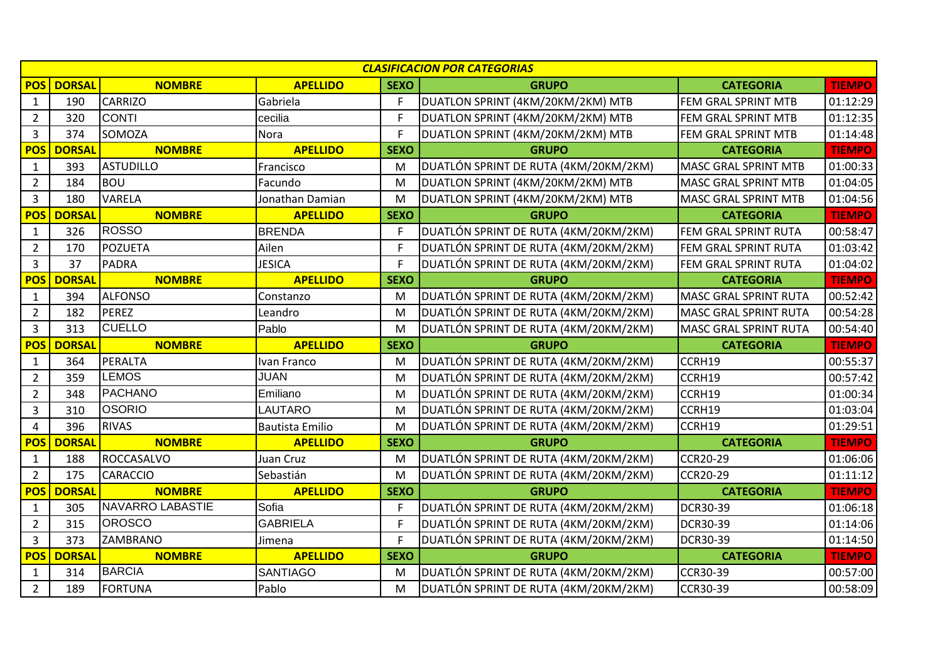| <b>CLASIFICACION POR CATEGORIAS</b> |               |                         |                        |             |                                       |                              |               |  |
|-------------------------------------|---------------|-------------------------|------------------------|-------------|---------------------------------------|------------------------------|---------------|--|
| <b>POS</b>                          | <b>DORSAL</b> | <b>NOMBRE</b>           | <b>APELLIDO</b>        | <b>SEXO</b> | <b>GRUPO</b>                          | <b>CATEGORIA</b>             | <b>TIEMPO</b> |  |
| $\mathbf{1}$                        | 190           | <b>CARRIZO</b>          | Gabriela               | F.          | DUATLON SPRINT (4KM/20KM/2KM) MTB     | FEM GRAL SPRINT MTB          | 01:12:29      |  |
| $\overline{2}$                      | 320           | <b>CONTI</b>            | cecilia                | F           | DUATLON SPRINT (4KM/20KM/2KM) MTB     | FEM GRAL SPRINT MTB          | 01:12:35      |  |
| $\overline{3}$                      | 374           | SOMOZA                  | <b>Nora</b>            | F.          | DUATLON SPRINT (4KM/20KM/2KM) MTB     | FEM GRAL SPRINT MTB          | 01:14:48      |  |
| <b>POS</b>                          | <b>DORSAL</b> | <b>NOMBRE</b>           | <b>APELLIDO</b>        | <b>SEXO</b> | <b>GRUPO</b>                          | <b>CATEGORIA</b>             | <b>TIEMPO</b> |  |
| $\mathbf{1}$                        | 393           | <b>ASTUDILLO</b>        | Francisco              | M           | DUATLÓN SPRINT DE RUTA (4KM/20KM/2KM) | <b>MASC GRAL SPRINT MTB</b>  | 01:00:33      |  |
| $\overline{2}$                      | 184           | <b>BOU</b>              | Facundo                | M           | DUATLON SPRINT (4KM/20KM/2KM) MTB     | <b>MASC GRAL SPRINT MTB</b>  | 01:04:05      |  |
| $\overline{3}$                      | 180           | <b>VARELA</b>           | Jonathan Damian        | M           | DUATLON SPRINT (4KM/20KM/2KM) MTB     | <b>MASC GRAL SPRINT MTB</b>  | 01:04:56      |  |
| <b>POS</b>                          | <b>DORSAL</b> | <b>NOMBRE</b>           | <b>APELLIDO</b>        | <b>SEXO</b> | <b>GRUPO</b>                          | <b>CATEGORIA</b>             | <b>TIEMPO</b> |  |
| $\mathbf{1}$                        | 326           | <b>ROSSO</b>            | <b>BRENDA</b>          | F           | DUATLÓN SPRINT DE RUTA (4KM/20KM/2KM) | <b>FEM GRAL SPRINT RUTA</b>  | 00:58:47      |  |
| $\overline{2}$                      | 170           | <b>POZUETA</b>          | Ailen                  | F           | DUATLÓN SPRINT DE RUTA (4KM/20KM/2KM) | FEM GRAL SPRINT RUTA         | 01:03:42      |  |
| $\overline{3}$                      | 37            | <b>PADRA</b>            | <b>JESICA</b>          | F           | DUATLÓN SPRINT DE RUTA (4KM/20KM/2KM) | FEM GRAL SPRINT RUTA         | 01:04:02      |  |
| <b>POS</b>                          | <b>DORSAL</b> | <b>NOMBRE</b>           | <b>APELLIDO</b>        | <b>SEXO</b> | <b>GRUPO</b>                          | <b>CATEGORIA</b>             | <b>TIEMPO</b> |  |
| $\mathbf{1}$                        | 394           | <b>ALFONSO</b>          | Constanzo              | M           | DUATLÓN SPRINT DE RUTA (4KM/20KM/2KM) | MASC GRAL SPRINT RUTA        | 00:52:42      |  |
| $\overline{2}$                      | 182           | PEREZ                   | Leandro                | M           | DUATLÓN SPRINT DE RUTA (4KM/20KM/2KM) | <b>MASC GRAL SPRINT RUTA</b> | 00:54:28      |  |
| $\overline{3}$                      | 313           | <b>CUELLO</b>           | Pablo                  | M           | DUATLÓN SPRINT DE RUTA (4KM/20KM/2KM) | <b>MASC GRAL SPRINT RUTA</b> | 00:54:40      |  |
| <b>POS</b>                          | <b>DORSAL</b> | <b>NOMBRE</b>           | <b>APELLIDO</b>        | <b>SEXO</b> | <b>GRUPO</b>                          | <b>CATEGORIA</b>             | <b>TIEMPO</b> |  |
| $\mathbf{1}$                        | 364           | PERALTA                 | Ivan Franco            | M           | DUATLÓN SPRINT DE RUTA (4KM/20KM/2KM) | CCRH19                       | 00:55:37      |  |
| $\overline{2}$                      | 359           | <b>LEMOS</b>            | <b>JUAN</b>            | M           | DUATLÓN SPRINT DE RUTA (4KM/20KM/2KM) | CCRH19                       | 00:57:42      |  |
| $\overline{2}$                      | 348           | <b>PACHANO</b>          | Emiliano               | M           | DUATLÓN SPRINT DE RUTA (4KM/20KM/2KM) | CCRH19                       | 01:00:34      |  |
| 3                                   | 310           | <b>OSORIO</b>           | LAUTARO                | M           | DUATLÓN SPRINT DE RUTA (4KM/20KM/2KM) | CCRH19                       | 01:03:04      |  |
| $\overline{\mathbf{4}}$             | 396           | <b>RIVAS</b>            | <b>Bautista Emilio</b> | M           | DUATLÓN SPRINT DE RUTA (4KM/20KM/2KM) | CCRH19                       | 01:29:51      |  |
| <b>POS</b>                          | <b>DORSAL</b> | <b>NOMBRE</b>           | <b>APELLIDO</b>        | <b>SEXO</b> | <b>GRUPO</b>                          | <b>CATEGORIA</b>             | <b>TIEMPO</b> |  |
| $\mathbf{1}$                        | 188           | <b>ROCCASALVO</b>       | Juan Cruz              | M           | DUATLÓN SPRINT DE RUTA (4KM/20KM/2KM) | <b>CCR20-29</b>              | 01:06:06      |  |
| $\overline{2}$                      | 175           | CARACCIO                | Sebastián              | M           | DUATLÓN SPRINT DE RUTA (4KM/20KM/2KM) | <b>CCR20-29</b>              | 01:11:12      |  |
| <b>POS</b>                          | <b>DORSAL</b> | <b>NOMBRE</b>           | <b>APELLIDO</b>        | <b>SEXO</b> | <b>GRUPO</b>                          | <b>CATEGORIA</b>             | <b>TIEMPO</b> |  |
| $\mathbf{1}$                        | 305           | <b>NAVARRO LABASTIE</b> | Sofia                  | F           | DUATLÓN SPRINT DE RUTA (4KM/20KM/2KM) | <b>DCR30-39</b>              | 01:06:18      |  |
| $\overline{2}$                      | 315           | <b>OROSCO</b>           | <b>GABRIELA</b>        | F           | DUATLÓN SPRINT DE RUTA (4KM/20KM/2KM) | <b>DCR30-39</b>              | 01:14:06      |  |
| 3                                   | 373           | ZAMBRANO                | Jimena                 | F.          | DUATLÓN SPRINT DE RUTA (4KM/20KM/2KM) | <b>DCR30-39</b>              | 01:14:50      |  |
| <b>POS</b>                          | <b>DORSAL</b> | <b>NOMBRE</b>           | <b>APELLIDO</b>        | <b>SEXO</b> | <b>GRUPO</b>                          | <b>CATEGORIA</b>             | <b>TIEMPO</b> |  |
| $\mathbf{1}$                        | 314           | <b>BARCIA</b>           | <b>SANTIAGO</b>        | M           | DUATLÓN SPRINT DE RUTA (4KM/20KM/2KM) | <b>CCR30-39</b>              | 00:57:00      |  |
| $\overline{2}$                      | 189           | <b>FORTUNA</b>          | Pablo                  | M           | DUATLÓN SPRINT DE RUTA (4KM/20KM/2KM) | <b>CCR30-39</b>              | 00:58:09      |  |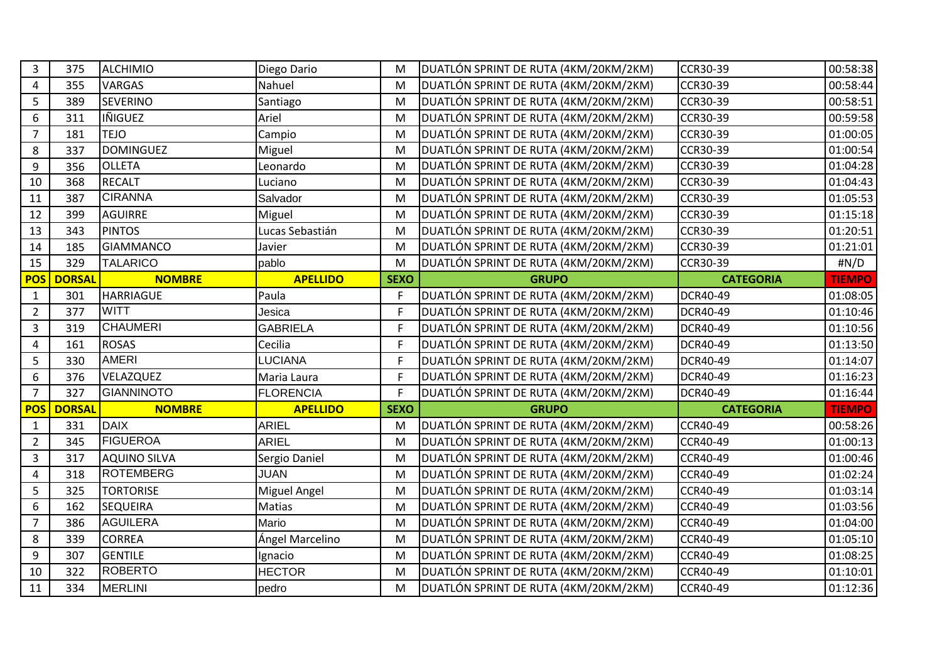| $\overline{3}$          | 375           | <b>ALCHIMIO</b>     | Diego Dario         | м           | DUATLÓN SPRINT DE RUTA (4KM/20KM/2KM) | <b>CCR30-39</b>  | 00:58:38      |
|-------------------------|---------------|---------------------|---------------------|-------------|---------------------------------------|------------------|---------------|
| $\overline{4}$          | 355           | <b>VARGAS</b>       | Nahuel              | M           | DUATLÓN SPRINT DE RUTA (4KM/20KM/2KM) | CCR30-39         | 00:58:44      |
| 5                       | 389           | <b>SEVERINO</b>     | Santiago            | M           | DUATLÓN SPRINT DE RUTA (4KM/20KM/2KM) | CCR30-39         | 00:58:51      |
| $\boldsymbol{6}$        | 311           | IÑIGUEZ             | Ariel               | M           | DUATLÓN SPRINT DE RUTA (4KM/20KM/2KM) | CCR30-39         | 00:59:58      |
| $\overline{7}$          | 181           | <b>TEJO</b>         | Campio              | M           | DUATLÓN SPRINT DE RUTA (4KM/20KM/2KM) | <b>CCR30-39</b>  | 01:00:05      |
| 8                       | 337           | <b>DOMINGUEZ</b>    | Miguel              | M           | DUATLÓN SPRINT DE RUTA (4KM/20KM/2KM) | <b>CCR30-39</b>  | 01:00:54      |
| 9                       | 356           | <b>OLLETA</b>       | Leonardo            | M           | DUATLÓN SPRINT DE RUTA (4KM/20KM/2KM) | CCR30-39         | 01:04:28      |
| 10                      | 368           | <b>RECALT</b>       | Luciano             | M           | DUATLÓN SPRINT DE RUTA (4KM/20KM/2KM) | CCR30-39         | 01:04:43      |
| 11                      | 387           | <b>CIRANNA</b>      | Salvador            | M           | DUATLÓN SPRINT DE RUTA (4KM/20KM/2KM) | <b>CCR30-39</b>  | 01:05:53      |
| 12                      | 399           | <b>AGUIRRE</b>      | Miguel              | M           | DUATLÓN SPRINT DE RUTA (4KM/20KM/2KM) | CCR30-39         | 01:15:18      |
| 13                      | 343           | <b>PINTOS</b>       | Lucas Sebastián     | M           | DUATLÓN SPRINT DE RUTA (4KM/20KM/2KM) | <b>CCR30-39</b>  | 01:20:51      |
| 14                      | 185           | <b>GIAMMANCO</b>    | Javier              | M           | DUATLÓN SPRINT DE RUTA (4KM/20KM/2KM) | CCR30-39         | 01:21:01      |
| 15                      | 329           | <b>TALARICO</b>     | pablo               | M           | DUATLÓN SPRINT DE RUTA (4KM/20KM/2KM) | <b>CCR30-39</b>  | #N/D          |
| <b>POS</b>              | <b>DORSAL</b> | <b>NOMBRE</b>       | <b>APELLIDO</b>     | <b>SEXO</b> | <b>GRUPO</b>                          | <b>CATEGORIA</b> | <b>TIEMPO</b> |
| $\mathbf{1}$            | 301           | <b>HARRIAGUE</b>    | Paula               | F.          | DUATLÓN SPRINT DE RUTA (4KM/20KM/2KM) | <b>DCR40-49</b>  | 01:08:05      |
| $\overline{2}$          | 377           | <b>WITT</b>         | Jesica              | F           | DUATLÓN SPRINT DE RUTA (4KM/20KM/2KM) | <b>DCR40-49</b>  | 01:10:46      |
| 3                       | 319           | <b>CHAUMERI</b>     | <b>GABRIELA</b>     | F.          | DUATLÓN SPRINT DE RUTA (4KM/20KM/2KM) | <b>DCR40-49</b>  | 01:10:56      |
| $\overline{\mathbf{4}}$ | 161           | <b>ROSAS</b>        | Cecilia             | F           | DUATLÓN SPRINT DE RUTA (4KM/20KM/2KM) | <b>DCR40-49</b>  | 01:13:50      |
| 5                       | 330           | <b>AMERI</b>        | LUCIANA             | F           | DUATLÓN SPRINT DE RUTA (4KM/20KM/2KM) | <b>DCR40-49</b>  | 01:14:07      |
| 6                       | 376           | VELAZQUEZ           | Maria Laura         | F           | DUATLÓN SPRINT DE RUTA (4KM/20KM/2KM) | <b>DCR40-49</b>  | 01:16:23      |
| $\overline{7}$          | 327           | <b>GIANNINOTO</b>   | <b>FLORENCIA</b>    | F.          | DUATLÓN SPRINT DE RUTA (4KM/20KM/2KM) | <b>DCR40-49</b>  | 01:16:44      |
| <b>POS</b>              | <b>DORSAL</b> | <b>NOMBRE</b>       | <b>APELLIDO</b>     | <b>SEXO</b> | <b>GRUPO</b>                          | <b>CATEGORIA</b> | <b>TIEMPO</b> |
| $\mathbf{1}$            | 331           | <b>DAIX</b>         | <b>ARIEL</b>        | M           | DUATLÓN SPRINT DE RUTA (4KM/20KM/2KM) | CCR40-49         | 00:58:26      |
| $\overline{2}$          | 345           | <b>FIGUEROA</b>     | <b>ARIEL</b>        | M           | DUATLÓN SPRINT DE RUTA (4KM/20KM/2KM) | <b>CCR40-49</b>  | 01:00:13      |
| $\overline{3}$          | 317           | <b>AQUINO SILVA</b> | Sergio Daniel       | M           | DUATLÓN SPRINT DE RUTA (4KM/20KM/2KM) | <b>CCR40-49</b>  | 01:00:46      |
| 4                       | 318           | <b>ROTEMBERG</b>    | <b>JUAN</b>         | M           | DUATLÓN SPRINT DE RUTA (4KM/20KM/2KM) | <b>CCR40-49</b>  | 01:02:24      |
| 5                       | 325           | <b>TORTORISE</b>    | <b>Miguel Angel</b> | M           | DUATLÓN SPRINT DE RUTA (4KM/20KM/2KM) | CCR40-49         | 01:03:14      |
| 6                       | 162           | <b>SEQUEIRA</b>     | Matias              | M           | DUATLÓN SPRINT DE RUTA (4KM/20KM/2KM) | <b>CCR40-49</b>  | 01:03:56      |
| $\overline{7}$          | 386           | <b>AGUILERA</b>     | Mario               | M           | DUATLÓN SPRINT DE RUTA (4KM/20KM/2KM) | <b>CCR40-49</b>  | 01:04:00      |
| 8                       | 339           | <b>CORREA</b>       | Ángel Marcelino     | M           | DUATLÓN SPRINT DE RUTA (4KM/20KM/2KM) | <b>CCR40-49</b>  | 01:05:10      |
| 9                       | 307           | <b>GENTILE</b>      | Ignacio             | M           | DUATLÓN SPRINT DE RUTA (4KM/20KM/2KM) | <b>CCR40-49</b>  | 01:08:25      |
| 10                      | 322           | <b>ROBERTO</b>      | <b>HECTOR</b>       | M           | DUATLÓN SPRINT DE RUTA (4KM/20KM/2KM) | <b>CCR40-49</b>  | 01:10:01      |
| 11                      | 334           | MERLINI             | pedro               | M           | DUATLÓN SPRINT DE RUTA (4KM/20KM/2KM) | <b>CCR40-49</b>  | 01:12:36      |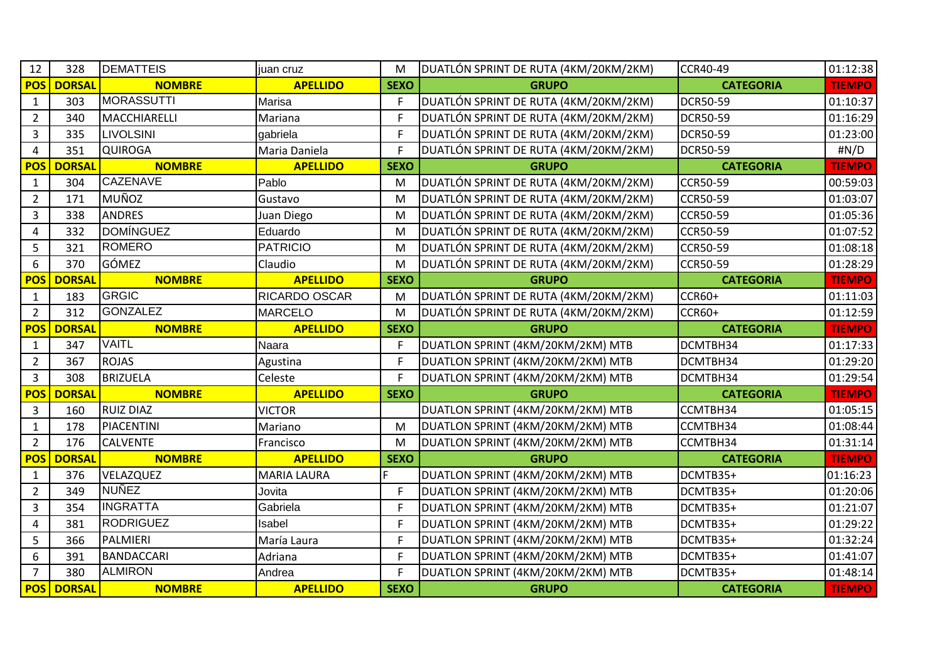| 12             | 328           | <b>DEMATTEIS</b>  | juan cruz          | M           | DUATLÓN SPRINT DE RUTA (4KM/20KM/2KM) | <b>CCR40-49</b>  | 01:12:38      |
|----------------|---------------|-------------------|--------------------|-------------|---------------------------------------|------------------|---------------|
| <b>POS</b>     | <b>DORSAL</b> | <b>NOMBRE</b>     | <b>APELLIDO</b>    | <b>SEXO</b> | <b>GRUPO</b>                          | <b>CATEGORIA</b> | <b>TIEMPO</b> |
| $\mathbf{1}$   | 303           | MORASSUTTI        | Marisa             | F           | DUATLÓN SPRINT DE RUTA (4KM/20KM/2KM) | <b>DCR50-59</b>  | 01:10:37      |
| $\overline{2}$ | 340           | MACCHIARELLI      | Mariana            | F           | DUATLÓN SPRINT DE RUTA (4KM/20KM/2KM) | <b>DCR50-59</b>  | 01:16:29      |
| 3              | 335           | <b>LIVOLSINI</b>  | gabriela           | F           | DUATLÓN SPRINT DE RUTA (4KM/20KM/2KM) | <b>DCR50-59</b>  | 01:23:00      |
| $\overline{4}$ | 351           | <b>QUIROGA</b>    | Maria Daniela      | F           | DUATLÓN SPRINT DE RUTA (4KM/20KM/2KM) | <b>DCR50-59</b>  | $\#N/D$       |
| <b>POS</b>     | <b>DORSAL</b> | <b>NOMBRE</b>     | <b>APELLIDO</b>    | <b>SEXO</b> | <b>GRUPO</b>                          | <b>CATEGORIA</b> | <b>TIEMPO</b> |
| $\mathbf{1}$   | 304           | <b>CAZENAVE</b>   | Pablo              | M           | DUATLÓN SPRINT DE RUTA (4KM/20KM/2KM) | <b>CCR50-59</b>  | 00:59:03      |
| $\overline{2}$ | 171           | <b>MUÑOZ</b>      | Gustavo            | M           | DUATLÓN SPRINT DE RUTA (4KM/20KM/2KM) | <b>CCR50-59</b>  | 01:03:07      |
| $\overline{3}$ | 338           | <b>ANDRES</b>     | Juan Diego         | M           | DUATLÓN SPRINT DE RUTA (4KM/20KM/2KM) | <b>CCR50-59</b>  | 01:05:36      |
| 4              | 332           | <b>DOMÍNGUEZ</b>  | Eduardo            | M           | DUATLÓN SPRINT DE RUTA (4KM/20KM/2KM) | <b>CCR50-59</b>  | 01:07:52      |
| 5              | 321           | <b>ROMERO</b>     | <b>PATRICIO</b>    | M           | DUATLÓN SPRINT DE RUTA (4KM/20KM/2KM) | <b>CCR50-59</b>  | 01:08:18      |
| 6              | 370           | <b>GÓMEZ</b>      | Claudio            | M           | DUATLÓN SPRINT DE RUTA (4KM/20KM/2KM) | <b>CCR50-59</b>  | 01:28:29      |
| <b>POS</b>     | <b>DORSAL</b> | <b>NOMBRE</b>     | <b>APELLIDO</b>    | <b>SEXO</b> | <b>GRUPO</b>                          | <b>CATEGORIA</b> | <b>TIEMPO</b> |
| $\mathbf{1}$   | 183           | <b>GRGIC</b>      | RICARDO OSCAR      | M           | DUATLÓN SPRINT DE RUTA (4KM/20KM/2KM) | <b>CCR60+</b>    | 01:11:03      |
| $\overline{2}$ | 312           | <b>GONZALEZ</b>   | <b>MARCELO</b>     | M           | DUATLÓN SPRINT DE RUTA (4KM/20KM/2KM) | <b>CCR60+</b>    | 01:12:59      |
| <b>POS</b>     | <b>DORSAL</b> | <b>NOMBRE</b>     | <b>APELLIDO</b>    | <b>SEXO</b> | <b>GRUPO</b>                          | <b>CATEGORIA</b> | <b>TIEMPO</b> |
| $\mathbf{1}$   | 347           | <b>VAITL</b>      | Naara              | F           | DUATLON SPRINT (4KM/20KM/2KM) MTB     | DCMTBH34         | 01:17:33      |
| $\overline{2}$ | 367           | <b>ROJAS</b>      | Agustina           | F.          | DUATLON SPRINT (4KM/20KM/2KM) MTB     | DCMTBH34         | 01:29:20      |
| $\overline{3}$ | 308           | <b>BRIZUELA</b>   | Celeste            | F           | DUATLON SPRINT (4KM/20KM/2KM) MTB     | DCMTBH34         | 01:29:54      |
| <b>POS</b>     | <b>DORSAL</b> | <b>NOMBRE</b>     | <b>APELLIDO</b>    | <b>SEXO</b> | <b>GRUPO</b>                          | <b>CATEGORIA</b> | <b>TIEMPO</b> |
| 3              | 160           | <b>RUIZ DIAZ</b>  | <b>VICTOR</b>      |             | DUATLON SPRINT (4KM/20KM/2KM) MTB     | CCMTBH34         | 01:05:15      |
| $\mathbf{1}$   | 178           | PIACENTINI        | Mariano            | M           | DUATLON SPRINT (4KM/20KM/2KM) MTB     | CCMTBH34         | 01:08:44      |
| $\overline{2}$ | 176           | <b>CALVENTE</b>   | Francisco          | M           | DUATLON SPRINT (4KM/20KM/2KM) MTB     | CCMTBH34         | 01:31:14      |
| <b>POS</b>     | <b>DORSAL</b> | <b>NOMBRE</b>     | <b>APELLIDO</b>    | <b>SEXO</b> | <b>GRUPO</b>                          | <b>CATEGORIA</b> | <b>TIEMPO</b> |
| $\mathbf{1}$   | 376           | VELAZQUEZ         | <b>MARIA LAURA</b> | F.          | DUATLON SPRINT (4KM/20KM/2KM) MTB     | DCMTB35+         | 01:16:23      |
| $\overline{2}$ | 349           | <b>NUÑEZ</b>      | Jovita             | F           | DUATLON SPRINT (4KM/20KM/2KM) MTB     | DCMTB35+         | 01:20:06      |
| 3              | 354           | <b>INGRATTA</b>   | Gabriela           | F           | DUATLON SPRINT (4KM/20KM/2KM) MTB     | DCMTB35+         | 01:21:07      |
| 4              | 381           | <b>RODRIGUEZ</b>  | Isabel             | F           | DUATLON SPRINT (4KM/20KM/2KM) MTB     | DCMTB35+         | 01:29:22      |
| 5              | 366           | PALMIERI          | María Laura        | F           | DUATLON SPRINT (4KM/20KM/2KM) MTB     | DCMTB35+         | 01:32:24      |
| 6              | 391           | <b>BANDACCARI</b> | Adriana            | F           | DUATLON SPRINT (4KM/20KM/2KM) MTB     | DCMTB35+         | 01:41:07      |
| $\overline{7}$ | 380           | <b>ALMIRON</b>    | Andrea             | F.          | DUATLON SPRINT (4KM/20KM/2KM) MTB     | DCMTB35+         | 01:48:14      |
| <b>POS</b>     | <b>DORSAL</b> | <b>NOMBRE</b>     | <b>APELLIDO</b>    | <b>SEXO</b> | <b>GRUPO</b>                          | <b>CATEGORIA</b> | <b>TIEMPO</b> |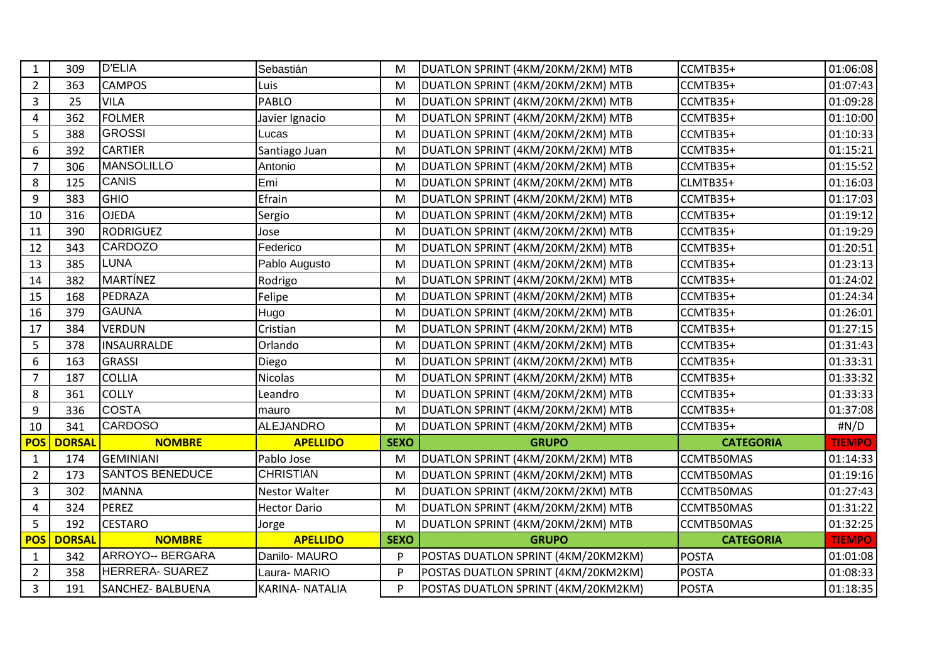| $\mathbf{1}$   | 309           | <b>D'ELIA</b>            | Sebastián              | M           | DUATLON SPRINT (4KM/20KM/2KM) MTB   | CCMTB35+         | 01:06:08      |
|----------------|---------------|--------------------------|------------------------|-------------|-------------------------------------|------------------|---------------|
| $\overline{2}$ | 363           | <b>CAMPOS</b>            | Luis                   | M           | DUATLON SPRINT (4KM/20KM/2KM) MTB   | CCMTB35+         | 01:07:43      |
| 3              | 25            | <b>VILA</b>              | PABLO                  | M           | DUATLON SPRINT (4KM/20KM/2KM) MTB   | CCMTB35+         | 01:09:28      |
| 4              | 362           | <b>FOLMER</b>            | Javier Ignacio         | M           | DUATLON SPRINT (4KM/20KM/2KM) MTB   | CCMTB35+         | 01:10:00      |
| 5              | 388           | <b>GROSSI</b>            | Lucas                  | M           | DUATLON SPRINT (4KM/20KM/2KM) MTB   | CCMTB35+         | 01:10:33      |
| 6              | 392           | <b>CARTIER</b>           | Santiago Juan          | M           | DUATLON SPRINT (4KM/20KM/2KM) MTB   | CCMTB35+         | 01:15:21      |
| $\overline{7}$ | 306           | <b>MANSOLILLO</b>        | Antonio                | M           | DUATLON SPRINT (4KM/20KM/2KM) MTB   | CCMTB35+         | 01:15:52      |
| 8              | 125           | <b>CANIS</b>             | Emi                    | M           | DUATLON SPRINT (4KM/20KM/2KM) MTB   | CLMTB35+         | 01:16:03      |
| 9              | 383           | <b>GHIO</b>              | Efrain                 | M           | DUATLON SPRINT (4KM/20KM/2KM) MTB   | CCMTB35+         | 01:17:03      |
| 10             | 316           | <b>OJEDA</b>             | Sergio                 | M           | DUATLON SPRINT (4KM/20KM/2KM) MTB   | CCMTB35+         | 01:19:12      |
| 11             | 390           | <b>RODRIGUEZ</b>         | Jose                   | M           | DUATLON SPRINT (4KM/20KM/2KM) MTB   | CCMTB35+         | 01:19:29      |
| 12             | 343           | <b>CARDOZO</b>           | Federico               | M           | DUATLON SPRINT (4KM/20KM/2KM) MTB   | CCMTB35+         | 01:20:51      |
| 13             | 385           | <b>LUNA</b>              | Pablo Augusto          | M           | DUATLON SPRINT (4KM/20KM/2KM) MTB   | CCMTB35+         | 01:23:13      |
| 14             | 382           | <b>MARTÍNEZ</b>          | Rodrigo                | M           | DUATLON SPRINT (4KM/20KM/2KM) MTB   | CCMTB35+         | 01:24:02      |
| 15             | 168           | PEDRAZA                  | Felipe                 | M           | DUATLON SPRINT (4KM/20KM/2KM) MTB   | CCMTB35+         | 01:24:34      |
| 16             | 379           | <b>GAUNA</b>             | Hugo                   | M           | DUATLON SPRINT (4KM/20KM/2KM) MTB   | CCMTB35+         | 01:26:01      |
| 17             | 384           | <b>VERDUN</b>            | Cristian               | M           | DUATLON SPRINT (4KM/20KM/2KM) MTB   | CCMTB35+         | 01:27:15      |
| 5              | 378           | INSAURRALDE              | Orlando                | M           | DUATLON SPRINT (4KM/20KM/2KM) MTB   | CCMTB35+         | 01:31:43      |
| 6              | 163           | <b>GRASSI</b>            | Diego                  | M           | DUATLON SPRINT (4KM/20KM/2KM) MTB   | CCMTB35+         | 01:33:31      |
| $\overline{7}$ | 187           | <b>COLLIA</b>            | <b>Nicolas</b>         | M           | DUATLON SPRINT (4KM/20KM/2KM) MTB   | CCMTB35+         | 01:33:32      |
| 8              | 361           | <b>COLLY</b>             | Leandro                | M           | DUATLON SPRINT (4KM/20KM/2KM) MTB   | CCMTB35+         | 01:33:33      |
| 9              | 336           | <b>COSTA</b>             | mauro                  | M           | DUATLON SPRINT (4KM/20KM/2KM) MTB   | CCMTB35+         | 01:37:08      |
| 10             | 341           | <b>CARDOSO</b>           | <b>ALEJANDRO</b>       | M           | DUATLON SPRINT (4KM/20KM/2KM) MTB   | CCMTB35+         | #N/D          |
| <b>POS</b>     | <b>DORSAL</b> | <b>NOMBRE</b>            | <b>APELLIDO</b>        | <b>SEXO</b> | <b>GRUPO</b>                        | <b>CATEGORIA</b> | <b>TIEMPO</b> |
| $\mathbf{1}$   | 174           | <b>GEMINIANI</b>         | Pablo Jose             | M           | DUATLON SPRINT (4KM/20KM/2KM) MTB   | CCMTB50MAS       | 01:14:33      |
| $\overline{2}$ | 173           | <b>SANTOS BENEDUCE</b>   | <b>CHRISTIAN</b>       | M           | DUATLON SPRINT (4KM/20KM/2KM) MTB   | CCMTB50MAS       | 01:19:16      |
| 3              | 302           | <b>MANNA</b>             | <b>Nestor Walter</b>   | M           | DUATLON SPRINT (4KM/20KM/2KM) MTB   | CCMTB50MAS       | 01:27:43      |
| 4              | 324           | <b>PEREZ</b>             | <b>Hector Dario</b>    | M           | DUATLON SPRINT (4KM/20KM/2KM) MTB   | CCMTB50MAS       | 01:31:22      |
| 5              | 192           | <b>CESTARO</b>           | Jorge                  | M           | DUATLON SPRINT (4KM/20KM/2KM) MTB   | CCMTB50MAS       | 01:32:25      |
| <b>POS</b>     | <b>DORSAL</b> | <b>NOMBRE</b>            | <b>APELLIDO</b>        | <b>SEXO</b> | <b>GRUPO</b>                        | <b>CATEGORIA</b> | <b>TIEMPO</b> |
| $\mathbf{1}$   | 342           | ARROYO-- BERGARA         | Danilo- MAURO          | P           | POSTAS DUATLON SPRINT (4KM/20KM2KM) | <b>POSTA</b>     | 01:01:08      |
| $\overline{2}$ | 358           | <b>HERRERA- SUAREZ</b>   | Laura- MARIO           | P           | POSTAS DUATLON SPRINT (4KM/20KM2KM) | <b>POSTA</b>     | 01:08:33      |
| $\overline{3}$ | 191           | <b>SANCHEZ- BALBUENA</b> | <b>KARINA- NATALIA</b> | P           | POSTAS DUATLON SPRINT (4KM/20KM2KM) | <b>POSTA</b>     | 01:18:35      |